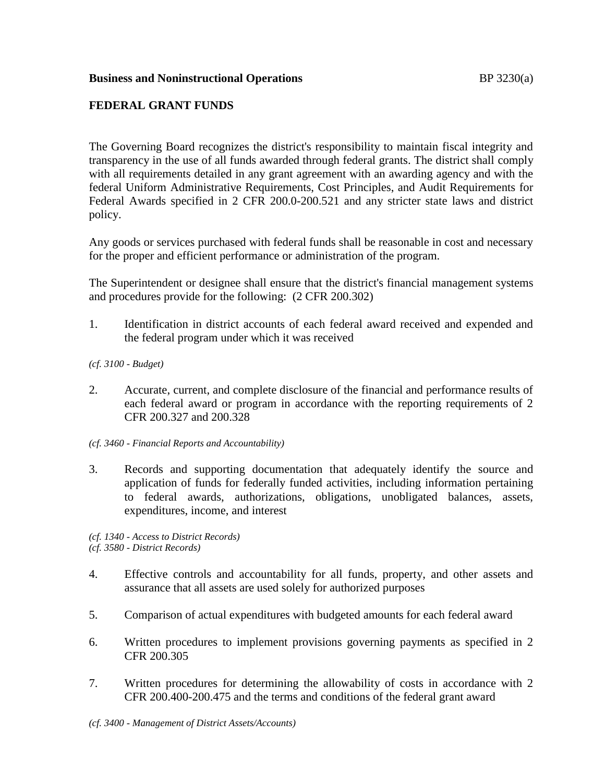## **Business and Noninstructional Operations BP** 3230(a)

# **FEDERAL GRANT FUNDS**

The Governing Board recognizes the district's responsibility to maintain fiscal integrity and transparency in the use of all funds awarded through federal grants. The district shall comply with all requirements detailed in any grant agreement with an awarding agency and with the federal Uniform Administrative Requirements, Cost Principles, and Audit Requirements for Federal Awards specified in 2 CFR 200.0-200.521 and any stricter state laws and district policy.

Any goods or services purchased with federal funds shall be reasonable in cost and necessary for the proper and efficient performance or administration of the program.

The Superintendent or designee shall ensure that the district's financial management systems and procedures provide for the following: (2 CFR 200.302)

1. Identification in district accounts of each federal award received and expended and the federal program under which it was received

#### *(cf. 3100 - Budget)*

- 2. Accurate, current, and complete disclosure of the financial and performance results of each federal award or program in accordance with the reporting requirements of 2 CFR 200.327 and 200.328
- *(cf. 3460 - Financial Reports and Accountability)*
- 3. Records and supporting documentation that adequately identify the source and application of funds for federally funded activities, including information pertaining to federal awards, authorizations, obligations, unobligated balances, assets, expenditures, income, and interest

*(cf. 1340 - Access to District Records) (cf. 3580 - District Records)*

- 4. Effective controls and accountability for all funds, property, and other assets and assurance that all assets are used solely for authorized purposes
- 5. Comparison of actual expenditures with budgeted amounts for each federal award
- 6. Written procedures to implement provisions governing payments as specified in 2 CFR 200.305
- 7. Written procedures for determining the allowability of costs in accordance with 2 CFR 200.400-200.475 and the terms and conditions of the federal grant award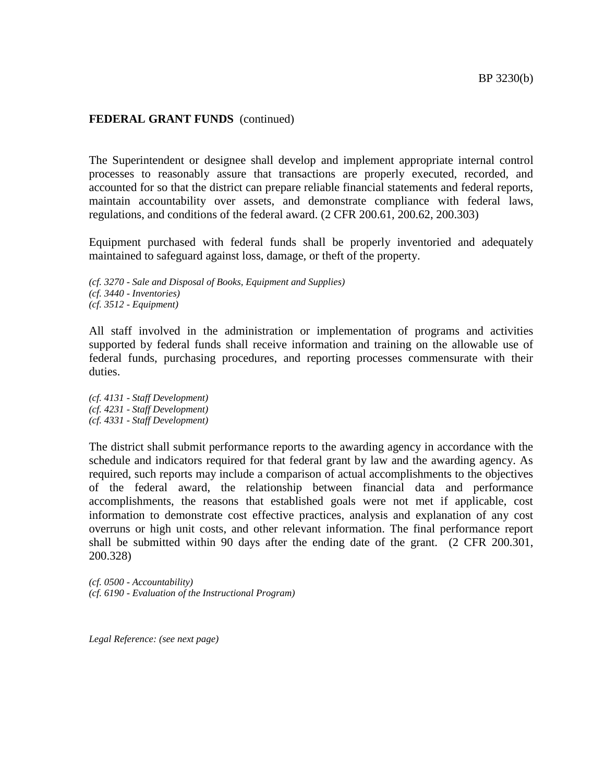The Superintendent or designee shall develop and implement appropriate internal control processes to reasonably assure that transactions are properly executed, recorded, and accounted for so that the district can prepare reliable financial statements and federal reports, maintain accountability over assets, and demonstrate compliance with federal laws, regulations, and conditions of the federal award. (2 CFR 200.61, 200.62, 200.303)

Equipment purchased with federal funds shall be properly inventoried and adequately maintained to safeguard against loss, damage, or theft of the property.

*(cf. 3270 - Sale and Disposal of Books, Equipment and Supplies) (cf. 3440 - Inventories) (cf. 3512 - Equipment)*

All staff involved in the administration or implementation of programs and activities supported by federal funds shall receive information and training on the allowable use of federal funds, purchasing procedures, and reporting processes commensurate with their duties.

*(cf. 4131 - Staff Development) (cf. 4231 - Staff Development) (cf. 4331 - Staff Development)*

The district shall submit performance reports to the awarding agency in accordance with the schedule and indicators required for that federal grant by law and the awarding agency. As required, such reports may include a comparison of actual accomplishments to the objectives of the federal award, the relationship between financial data and performance accomplishments, the reasons that established goals were not met if applicable, cost information to demonstrate cost effective practices, analysis and explanation of any cost overruns or high unit costs, and other relevant information. The final performance report shall be submitted within 90 days after the ending date of the grant. (2 CFR 200.301, 200.328)

*(cf. 0500 - Accountability) (cf. 6190 - Evaluation of the Instructional Program)*

*Legal Reference: (see next page)*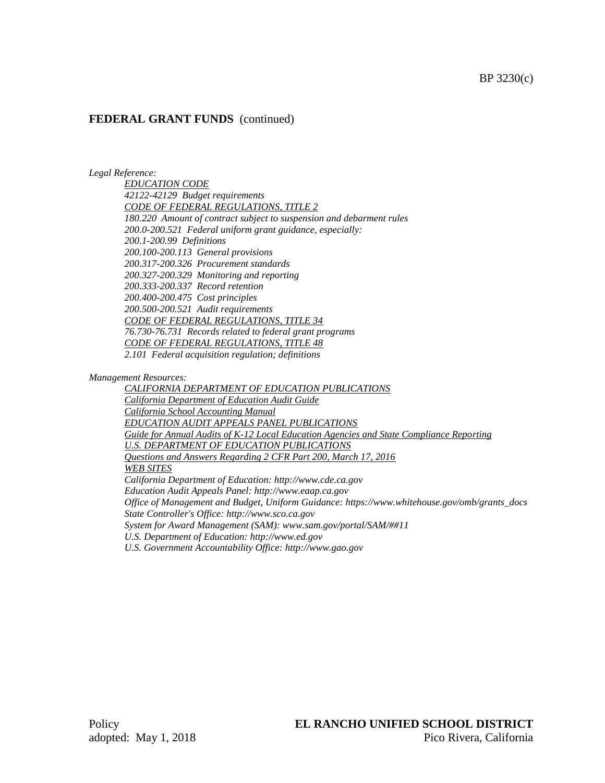*Legal Reference:*

*EDUCATION CODE 42122-42129 Budget requirements CODE OF FEDERAL REGULATIONS, TITLE 2 180.220 Amount of contract subject to suspension and debarment rules 200.0-200.521 Federal uniform grant guidance, especially: 200.1-200.99 Definitions 200.100-200.113 General provisions 200.317-200.326 Procurement standards 200.327-200.329 Monitoring and reporting 200.333-200.337 Record retention 200.400-200.475 Cost principles 200.500-200.521 Audit requirements CODE OF FEDERAL REGULATIONS, TITLE 34 76.730-76.731 Records related to federal grant programs CODE OF FEDERAL REGULATIONS, TITLE 48 2.101 Federal acquisition regulation; definitions*

*Management Resources:*

*CALIFORNIA DEPARTMENT OF EDUCATION PUBLICATIONS California Department of Education Audit Guide California School Accounting Manual EDUCATION AUDIT APPEALS PANEL PUBLICATIONS Guide for Annual Audits of K-12 Local Education Agencies and State Compliance Reporting U.S. DEPARTMENT OF EDUCATION PUBLICATIONS Questions and Answers Regarding 2 CFR Part 200, March 17, 2016 WEB SITES California Department of Education: http://www.cde.ca.gov Education Audit Appeals Panel: http://www.eaap.ca.gov Office of Management and Budget, Uniform Guidance: https://www.whitehouse.gov/omb/grants\_docs State Controller's Office: http://www.sco.ca.gov System for Award Management (SAM): www.sam.gov/portal/SAM/##11 U.S. Department of Education: http://www.ed.gov U.S. Government Accountability Office: http://www.gao.gov*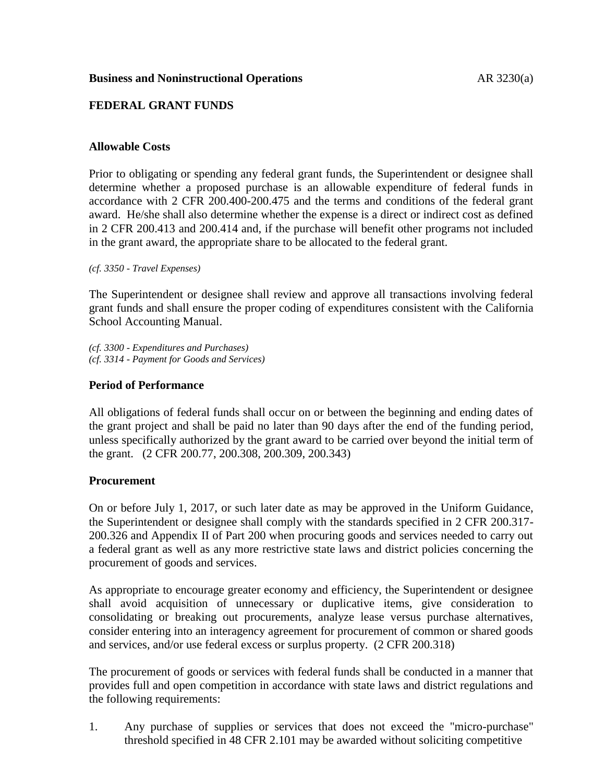## **Business and Noninstructional Operations AR 3230(a)**

## **FEDERAL GRANT FUNDS**

#### **Allowable Costs**

Prior to obligating or spending any federal grant funds, the Superintendent or designee shall determine whether a proposed purchase is an allowable expenditure of federal funds in accordance with 2 CFR 200.400-200.475 and the terms and conditions of the federal grant award. He/she shall also determine whether the expense is a direct or indirect cost as defined in 2 CFR 200.413 and 200.414 and, if the purchase will benefit other programs not included in the grant award, the appropriate share to be allocated to the federal grant.

*(cf. 3350 - Travel Expenses)*

The Superintendent or designee shall review and approve all transactions involving federal grant funds and shall ensure the proper coding of expenditures consistent with the California School Accounting Manual.

*(cf. 3300 - Expenditures and Purchases) (cf. 3314 - Payment for Goods and Services)*

#### **Period of Performance**

All obligations of federal funds shall occur on or between the beginning and ending dates of the grant project and shall be paid no later than 90 days after the end of the funding period, unless specifically authorized by the grant award to be carried over beyond the initial term of the grant. (2 CFR 200.77, 200.308, 200.309, 200.343)

#### **Procurement**

On or before July 1, 2017, or such later date as may be approved in the Uniform Guidance, the Superintendent or designee shall comply with the standards specified in 2 CFR 200.317- 200.326 and Appendix II of Part 200 when procuring goods and services needed to carry out a federal grant as well as any more restrictive state laws and district policies concerning the procurement of goods and services.

As appropriate to encourage greater economy and efficiency, the Superintendent or designee shall avoid acquisition of unnecessary or duplicative items, give consideration to consolidating or breaking out procurements, analyze lease versus purchase alternatives, consider entering into an interagency agreement for procurement of common or shared goods and services, and/or use federal excess or surplus property. (2 CFR 200.318)

The procurement of goods or services with federal funds shall be conducted in a manner that provides full and open competition in accordance with state laws and district regulations and the following requirements:

1. Any purchase of supplies or services that does not exceed the "micro-purchase" threshold specified in 48 CFR 2.101 may be awarded without soliciting competitive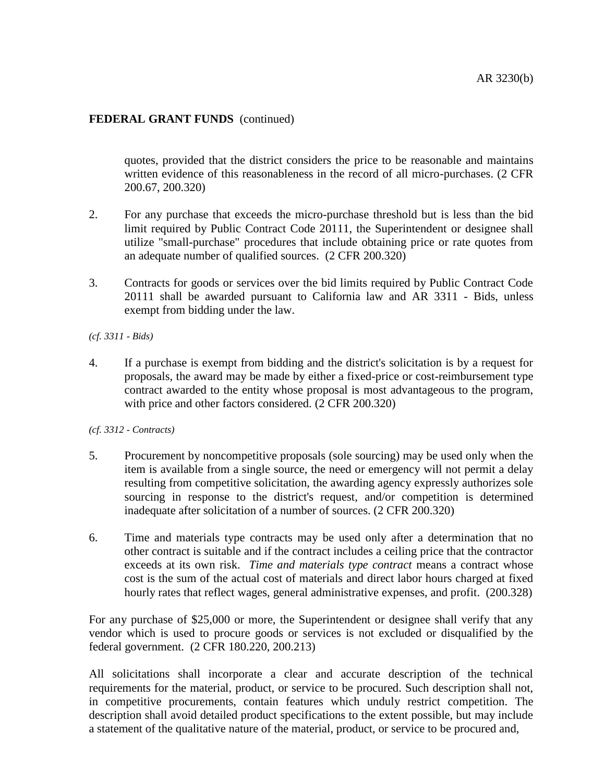quotes, provided that the district considers the price to be reasonable and maintains written evidence of this reasonableness in the record of all micro-purchases. (2 CFR 200.67, 200.320)

- 2. For any purchase that exceeds the micro-purchase threshold but is less than the bid limit required by Public Contract Code 20111, the Superintendent or designee shall utilize "small-purchase" procedures that include obtaining price or rate quotes from an adequate number of qualified sources. (2 CFR 200.320)
- 3. Contracts for goods or services over the bid limits required by Public Contract Code 20111 shall be awarded pursuant to California law and AR 3311 - Bids, unless exempt from bidding under the law.
- *(cf. 3311 - Bids)*
- 4. If a purchase is exempt from bidding and the district's solicitation is by a request for proposals, the award may be made by either a fixed-price or cost-reimbursement type contract awarded to the entity whose proposal is most advantageous to the program, with price and other factors considered. (2 CFR 200.320)
- *(cf. 3312 - Contracts)*
- 5. Procurement by noncompetitive proposals (sole sourcing) may be used only when the item is available from a single source, the need or emergency will not permit a delay resulting from competitive solicitation, the awarding agency expressly authorizes sole sourcing in response to the district's request, and/or competition is determined inadequate after solicitation of a number of sources. (2 CFR 200.320)
- 6. Time and materials type contracts may be used only after a determination that no other contract is suitable and if the contract includes a ceiling price that the contractor exceeds at its own risk. *Time and materials type contract* means a contract whose cost is the sum of the actual cost of materials and direct labor hours charged at fixed hourly rates that reflect wages, general administrative expenses, and profit. (200.328)

For any purchase of \$25,000 or more, the Superintendent or designee shall verify that any vendor which is used to procure goods or services is not excluded or disqualified by the federal government. (2 CFR 180.220, 200.213)

All solicitations shall incorporate a clear and accurate description of the technical requirements for the material, product, or service to be procured. Such description shall not, in competitive procurements, contain features which unduly restrict competition. The description shall avoid detailed product specifications to the extent possible, but may include a statement of the qualitative nature of the material, product, or service to be procured and,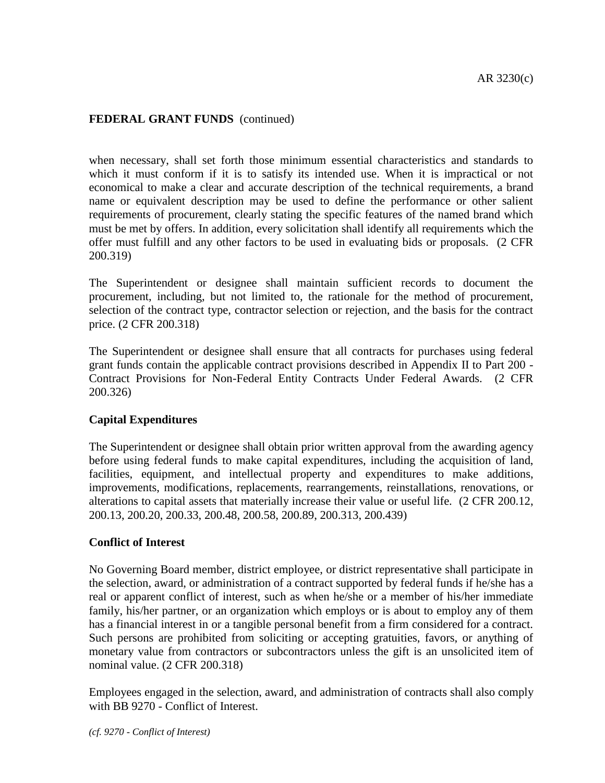when necessary, shall set forth those minimum essential characteristics and standards to which it must conform if it is to satisfy its intended use. When it is impractical or not economical to make a clear and accurate description of the technical requirements, a brand name or equivalent description may be used to define the performance or other salient requirements of procurement, clearly stating the specific features of the named brand which must be met by offers. In addition, every solicitation shall identify all requirements which the offer must fulfill and any other factors to be used in evaluating bids or proposals. (2 CFR 200.319)

The Superintendent or designee shall maintain sufficient records to document the procurement, including, but not limited to, the rationale for the method of procurement, selection of the contract type, contractor selection or rejection, and the basis for the contract price. (2 CFR 200.318)

The Superintendent or designee shall ensure that all contracts for purchases using federal grant funds contain the applicable contract provisions described in Appendix II to Part 200 - Contract Provisions for Non-Federal Entity Contracts Under Federal Awards. (2 CFR 200.326)

## **Capital Expenditures**

The Superintendent or designee shall obtain prior written approval from the awarding agency before using federal funds to make capital expenditures, including the acquisition of land, facilities, equipment, and intellectual property and expenditures to make additions, improvements, modifications, replacements, rearrangements, reinstallations, renovations, or alterations to capital assets that materially increase their value or useful life. (2 CFR 200.12, 200.13, 200.20, 200.33, 200.48, 200.58, 200.89, 200.313, 200.439)

## **Conflict of Interest**

No Governing Board member, district employee, or district representative shall participate in the selection, award, or administration of a contract supported by federal funds if he/she has a real or apparent conflict of interest, such as when he/she or a member of his/her immediate family, his/her partner, or an organization which employs or is about to employ any of them has a financial interest in or a tangible personal benefit from a firm considered for a contract. Such persons are prohibited from soliciting or accepting gratuities, favors, or anything of monetary value from contractors or subcontractors unless the gift is an unsolicited item of nominal value. (2 CFR 200.318)

Employees engaged in the selection, award, and administration of contracts shall also comply with BB 9270 - Conflict of Interest.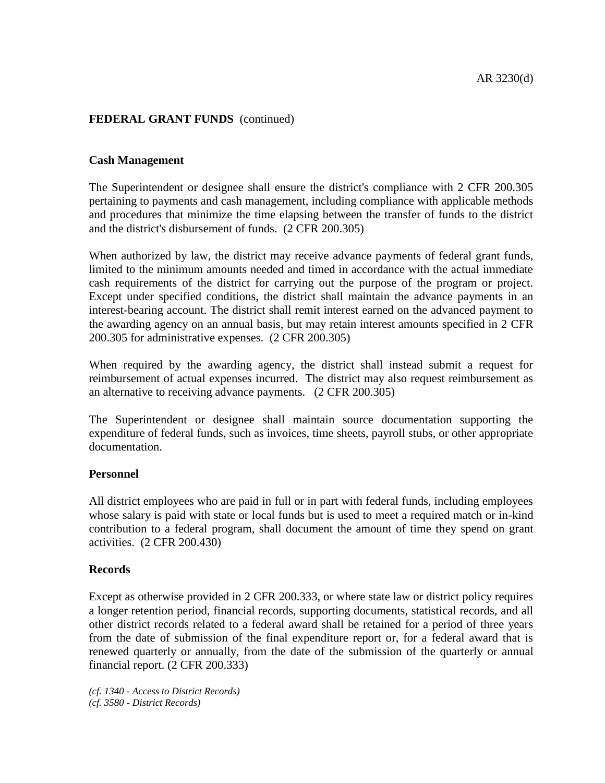## **Cash Management**

The Superintendent or designee shall ensure the district's compliance with 2 CFR 200.305 pertaining to payments and cash management, including compliance with applicable methods and procedures that minimize the time elapsing between the transfer of funds to the district and the district's disbursement of funds. (2 CFR 200.305)

When authorized by law, the district may receive advance payments of federal grant funds, limited to the minimum amounts needed and timed in accordance with the actual immediate cash requirements of the district for carrying out the purpose of the program or project. Except under specified conditions, the district shall maintain the advance payments in an interest-bearing account. The district shall remit interest earned on the advanced payment to the awarding agency on an annual basis, but may retain interest amounts specified in 2 CFR 200.305 for administrative expenses. (2 CFR 200.305)

When required by the awarding agency, the district shall instead submit a request for reimbursement of actual expenses incurred. The district may also request reimbursement as an alternative to receiving advance payments. (2 CFR 200.305)

The Superintendent or designee shall maintain source documentation supporting the expenditure of federal funds, such as invoices, time sheets, payroll stubs, or other appropriate documentation.

#### **Personnel**

All district employees who are paid in full or in part with federal funds, including employees whose salary is paid with state or local funds but is used to meet a required match or in-kind contribution to a federal program, shall document the amount of time they spend on grant activities. (2 CFR 200.430)

#### **Records**

Except as otherwise provided in 2 CFR 200.333, or where state law or district policy requires a longer retention period, financial records, supporting documents, statistical records, and all other district records related to a federal award shall be retained for a period of three years from the date of submission of the final expenditure report or, for a federal award that is renewed quarterly or annually, from the date of the submission of the quarterly or annual financial report. (2 CFR 200.333)

*(cf. 1340 - Access to District Records) (cf. 3580 - District Records)*